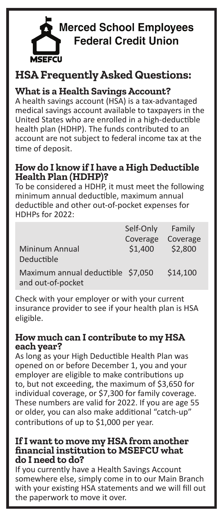

# **HSA Frequently Asked Questions:**

**What is a Health Savings Account?**

Γ

A health savings account (HSA) is a tax-advantaged medical savings account available to taxpayers in the United States who are enrolled in a high-deductible health plan (HDHP). The funds contributed to an account are not subject to federal income tax at the time of deposit.

### **How do I know if I have a High Deductible Health Plan (HDHP)?**

To be considered a HDHP, it must meet the following minimum annual deductible, maximum annual deductible and other out-of-pocket expenses for HDHPs for 2022:

|                                                        | Self-Only | Family   |
|--------------------------------------------------------|-----------|----------|
|                                                        | Coverage  | Coverage |
| Mininum Annual<br>Deductible                           | \$1,400   | \$2,800  |
| Maximum annual deductible \$7,050<br>and out-of-pocket |           | \$14,100 |

Check with your employer or with your current insurance provider to see if your health plan is HSA eligible.

#### **How much can I contribute to my HSA each year?**

As long as your High Deductible Health Plan was opened on or before December 1, you and your employer are eligible to make contributions up to, but not exceeding, the maximum of \$3,650 for individual coverage, or \$7,300 for family coverage. These numbers are valid for 2022. If you are age 55 or older, you can also make additional "catch-up" contributions of up to \$1,000 per year.

#### **If I want to move my HSA from another financial institution to MSEFCU what do I need to do?**

If you currently have a Health Savings Account somewhere else, simply come in to our Main Branch with your existing HSA statements and we will fill out the paperwork to move it over.